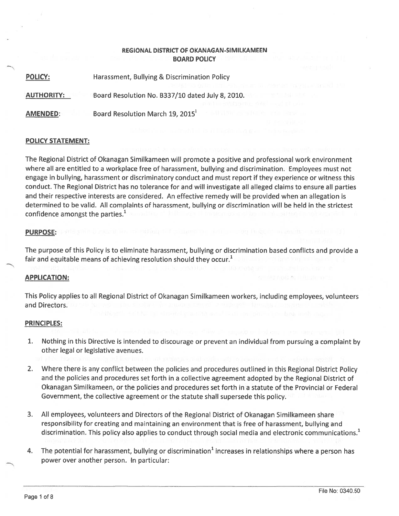## REGIONAL DISTRICT OF OKANAGAN-SIMILKAMEEN BOARD POLICY

POLICY: Harassment, Bullying & Discrimination Policy

AUTHORITY: Board Resolution No. 8337/10 dated July 8, 2010.

AMENDED: Board Resolution March 19, 2015

## POLICY STATEMENT:

The Regional District of Okanagan Similkameen will promote <sup>a</sup> positive and professional work environment where all are entitled to <sup>a</sup> workplace free of harassment, bullying and discrimination. Employees must not engage in bullying, harassment or discriminatory conduct and must repor<sup>t</sup> if they experience or witness this conduct. The Regional District has no tolerance for and will investigate all alleged claims to ensure all parties and their respective interests are considered. An effective remedy will be provided when an allegation is determined to be valid. All complaints of harassment, bullying or discrimination will be held in the strictest confidence amongst the parties. $<sup>1</sup>$ </sup>

#### PURPOSE:

The purpose of this Policy is to eliminate harassment, bullying or discrimination based conflicts and provide <sup>a</sup> fair and equitable means of achieving resolution should they occur. $<sup>1</sup>$ </sup>

## APPLICATION:

This Policy applies to all Regional District of Okanagan Similkameen workers, including employees, volunteers and Directors.

#### PRINCIPLES:

- 1. Nothing in this Directive is intended to discourage or preven<sup>t</sup> an individual from pursuing <sup>a</sup> complaint by other legal or legislative avenues.
- 2. Where there is any conflict between the policies and procedures outlined in this Regional District Policy and the policies and procedures set forth in <sup>a</sup> collective agreemen<sup>t</sup> adopted by the Regional District of Okanagan Similkameen, or the policies and procedures set forth in <sup>a</sup> statute of the Provincial or Federal Government, the collective agreemen<sup>t</sup> or the statute shall supersede this policy.
- 3. All employees, volunteers and Directors of the Regional District of Okanagan Similkameen share responsibility for creating and maintaining an environment that is free of harassment, bullying and discrimination. This policy also applies to conduct through social media and electronic communications.<sup>1</sup>
- 4. The potential for harassment, bullying or discrimination<sup>1</sup> increases in relationships where a person has power over another person. In particular: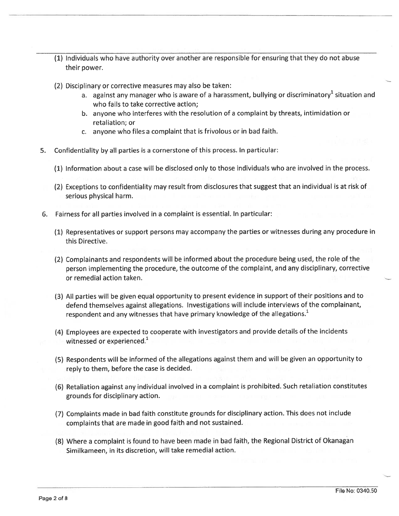- (1) Individuals who have authority over another are responsible for ensuring that they do not abuse their power.
- (2) Disciplinary or corrective measures may also be taken:
	- a. against any manager who is aware of a harassment, bullying or discriminatory<sup>1</sup> situation and who fails to take corrective action;
	- b. anyone who interferes with the resolution of <sup>a</sup> complaint by threats, intimidation or retaliation; or
	- c. anyone who files <sup>a</sup> complaint that is frivolous or in bad faith.
- 5. Confidentiality by all parties is <sup>a</sup> cornerstone of this process. In particular:
	- (1) Information about <sup>a</sup> case will be disclosed only to those individuals who are involved in the process.
	- (2) Exceptions to confidentiality may result from disclosures that sugges<sup>t</sup> that an individual is at risk of serious physical harm.
- 6. Fairness for all parties involved in <sup>a</sup> complaint is essential. In particular:
	- (1) Representatives or suppor<sup>t</sup> persons may accompany the parties or witnesses during any procedure in this Directive.
	- (2) Complainants and respondents will be informed about the procedure being used, the role of the person implementing the procedure, the outcome of the complaint, and any disciplinary, corrective or remedial action taken.
	- (3) All parties will be <sup>g</sup>iven equa<sup>l</sup> opportunity to presen<sup>t</sup> evidence in suppor<sup>t</sup> of their positions and to defend themselves against allegations. Investigations will include interviews of the complainant, respondent and any witnesses that have primary knowledge of the allegations. $<sup>1</sup>$ </sup>
	- (4) Employees are expected to cooperate with investigators and provide details of the incidents witnessed or experienced. $^{\prime}$
	- (5) Respondents will be informed of the allegations against them and will be <sup>g</sup>iven an opportunity to reply to them, before the case is decided.
	- (6) Retaliation against any individual involved in <sup>a</sup> complaint is prohibited. Such retaliation constitutes grounds for disciplinary action.
	- (7) Complaints made in bad faith constitute grounds for disciplinary action. This does not include complaints that are made in good faith and not sustained.
	- (8) Where <sup>a</sup> complaint is found to have been made in bad faith, the Regional District of Okanagan Similkameen, in its discretion, will take remedial action.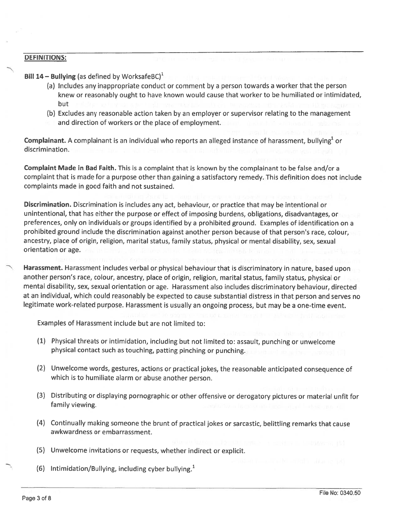## DEFINITIONS:

Bill 14 – Bullying (as defined by WorksafeBC)<sup>1</sup>

- (a) Includes any inappropriate conduct or comment by <sup>a</sup> person towards <sup>a</sup> worker that the person knew or reasonably ought to have known would cause that worker to be humiliated or intimidated, but
- (b) Excludes any reasonable action taken by an employer or supervisor relating to the managemen<sup>t</sup> and direction of workers or the place of employment.

**Complainant.** A complainant is an individual who reports an alleged instance of harassment, bullying<sup>1</sup> or discrimination.

Complaint Made in Bad Faith. This is <sup>a</sup> complaint that is known by the complainant to be false and/or <sup>a</sup> complaint that is made for <sup>a</sup> purpose other than gaining <sup>a</sup> satisfactory remedy. This definition does not include complaints made in good faith and not sustained.

Discrimination. Discrimination is includes any act, behaviour, or practice that may be intentional or unintentional, that has either the purpose or effect of imposing burdens, obligations, disadvantages, or preferences, only on individuals or groups identified by <sup>a</sup> prohibited ground. Examples of identification on <sup>a</sup> prohibited groun<sup>d</sup> include the discrimination against another person because of that person's race, colour, ancestry, place of origin, religion, marital status, family status, physical or mental disability, sex, sexual orientation or age.

Harassment. Harassment includes verbal or <sup>p</sup>hysical behaviour that is discriminatory in nature, based upon another person's race, colour, ancestry, <sup>p</sup>lace of origin, religion, marital status, family status, <sup>p</sup>hysical or mental disability, sex, sexual orientation or age. Harassment also includes discriminatory behaviour, directed at an individual, which could reasonably be expected to cause substantial distress in that person and serves no legitimate work-related purpose. Harassment is usually an ongoing process, but may be <sup>a</sup> one-time event.

Examples of Harassment include but are not limited to:

- (1) Physical threats or intimidation, including but not limited to: assault, punching or unwelcome <sup>p</sup>hysical contact such as touching, patting <sup>p</sup>inching or punching.
- (2) Unwelcome words, gestures, actions or practical jokes, the reasonable anticipated consequence of which is to humiliate alarm or abuse another person.
- (3) Distributing or displaying pornographic or other offensive or derogatory <sup>p</sup>ictures or material unfit for family viewing.
- (4) Continually making someone the brunt of practical jokes or sarcastic, belittling remarks that cause awkwardness or embarrassment.
- (5) Unwelcome invitations or requests, whether indirect or explicit.
- (6) Intimidation/Bullying, including cyber bullying.<sup>1</sup>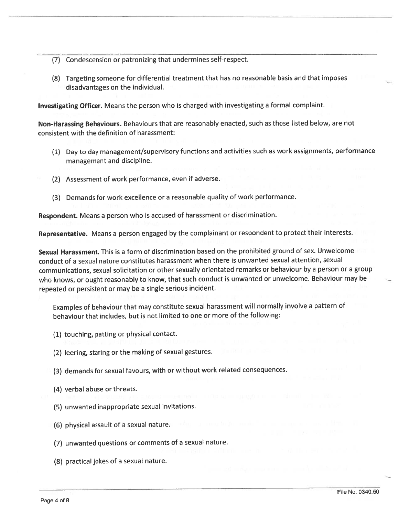- (7) Condescension or patronizing that undermines self-respect.
- (8) Targeting someone for differential treatment that has no reasonable basis and that imposes disadvantages on the individual.

Investigating Officer. Means the person who is charged with investigating <sup>a</sup> formal complaint.

Non-Harassing Behaviours. Behaviours that are reasonably enacted, such as those listed below, are not consistent with the definition of harassment:

- (1) Day to day management/supervisory functions and activities such as work assignments, performance managemen<sup>t</sup> and discipline.
- (2) Assessment of work performance, even if adverse.
- (3) Demands for work excellence or <sup>a</sup> reasonable quality of work performance.

Respondent. Means <sup>a</sup> person who is accused of harassment or discrimination.

Representative. Means a person engaged by the complainant or respondent to protect their interests.

Sexual Harassment. This is <sup>a</sup> form of discrimination based on the prohibited ground of sex. Unwelcome conduct of <sup>a</sup> sexual nature constitutes harassment when there is unwanted sexual attention, sexual communications, sexual solicitation or other sexually orientated remarks or behaviour by <sup>a</sup> person or <sup>a</sup> group who knows, or ought reasonably to know, that such conduct is unwanted or unwelcome. Behaviour may be repeated or persistent or may be <sup>a</sup> single serious incident.

Examples of behaviour that may constitute sexual harassment will normally involve <sup>a</sup> pattern of behaviour that includes, but is not limited to one or more of the following:

- (1) touching, patting or <sup>p</sup>hysical contact.
- (2) leering, staring or the making of sexual gestures.
- (3) demands for sexual favours, with or without work related consequences.
- (4) verbal abuse or threats.
- (5) unwanted inappropriate sexual invitations.
- (6) physical assault of <sup>a</sup> sexual nature.
- (7) unwanted questions or comments of <sup>a</sup> sexual nature.
- (8) practical jokes of <sup>a</sup> sexual nature.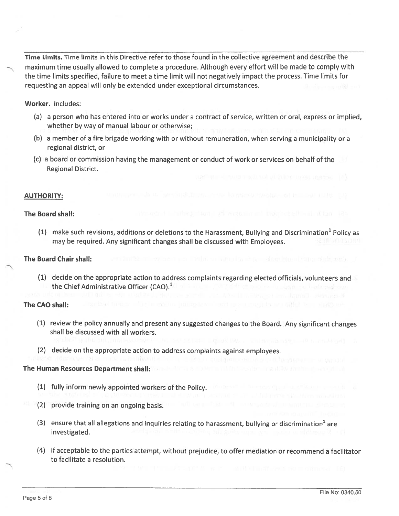Time Limits. Time limits in this Directive refer to those found in the collective agreemen<sup>t</sup> and describe the maximum time usually allowed to complete a procedure. Although every effort will be made to comply with the time limits specified, failure to meet <sup>a</sup> time limit will not negatively impact the process. Time limits for requesting an appeal will only be extended under exceptional circumstances.

Worker. Includes:

- (a) <sup>a</sup> person who has entered into or works under <sup>a</sup> contract of service, written or oral, express or implied, whether by way of manual labour or otherwise;
- (b) <sup>a</sup> member of <sup>a</sup> fire brigade working with or without remuneration, when serving <sup>a</sup> municipality or <sup>a</sup> regional district, or
- (c) <sup>a</sup> board or commission having the managemen<sup>t</sup> or conduct of work or services on behalf of the Regional District.

# AUTHORITY:

#### The Board shall:

(1) make such revisions, additions or deletions to the Harassment, Bullying and Discrimination<sup>1</sup> Policy as may be required. Any significant changes shall be discussed with Employees.

## The Board Chair shall:

(1) decide on the appropriate action to address complaints regarding elected officials, volunteers and the Chief Administrative Officer (CAO).'

## The CAO shall:

- (1) review the policy annually and presen<sup>t</sup> any suggested changes to the Board. Any significant changes shall be discussed with all workers.
- (2) decide on the appropriate action to address complaints against employees.

## The Human Resources Department shall:

- (1) fully inform newly appointed workers of the Policy.
- (2) provide training on an ongoing basis.
- (3) ensure that all allegations and inquiries relating to harassment, bullying or discrimination<sup>1</sup> are investigated.
- (4) if acceptable to the parties attempt, without prejudice, to offer mediation or recommend <sup>a</sup> facilitator to facilitate <sup>a</sup> resolution.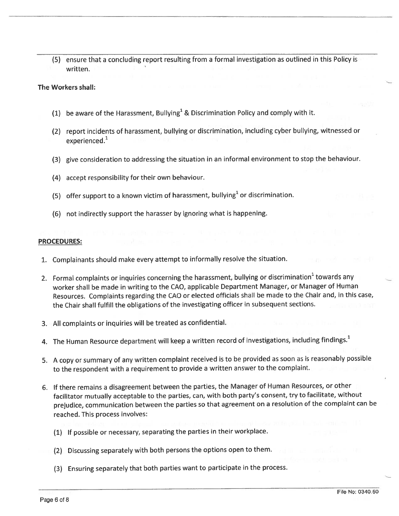(5) ensure that <sup>a</sup> concluding repor<sup>t</sup> resulting from <sup>a</sup> formal investigation as outlined in this Policy is written.

#### The Workers shall:

- (1) be aware of the Harassment, Bullying<sup>1</sup> & Discrimination Policy and comply with it.
- (2) repor<sup>t</sup> incidents of harassment, bullying or discrimination, including cyber bullying, witnessed or experienced.<sup>1</sup>
- (3) <sup>g</sup>ive consideration to addressing the situation in an informal environment to stop the behaviour.
- (4) accep<sup>t</sup> responsibility for their own behaviour.
- (5) offer support to a known victim of harassment, bullying<sup>1</sup> or discrimination.
- (6) not indirectly suppor<sup>t</sup> the harasser by ignoring what is happening.

#### PROCEDURES:

- .. Complainants should make every attempt to informally resolve the situation.
- 2. Formal complaints or inquiries concerning the harassment, bullying or discrimination' towards any worker shall be made in writing to the CAO, applicable Department Manager, or Manager of Human Resources. Complaints regarding the CAO or elected officials shall be made to the Chair and, in this case, the Chair shall fulfill the obligations of the investigating officer in subsequent sections.
- 3. All complaints or inquiries will be treated as confidential.
- 4. The Human Resource department will keep a written record of investigations, including findings.<sup>1</sup>
- 5. A copy or summary of any written complaint received is to be provided as soon as is reasonably possible to the respondent with a requirement to provide a written answer to the complaint.
- 6. If there remains <sup>a</sup> disagreement between the parties, the Manager of Human Resources, or other facilitator mutually acceptable to the parties, can, with both party's consent, try to facilitate, without prejudice, communication between the parties so that agreemen<sup>t</sup> on <sup>a</sup> resolution of the complaint can be reached. This process involves:
	- (1) If possible or necessary, separating the parties in their workplace.
	- (2) Discussing separately with both persons the options open to them.
	- (3) Ensuring separately that both parties want to participate in the process.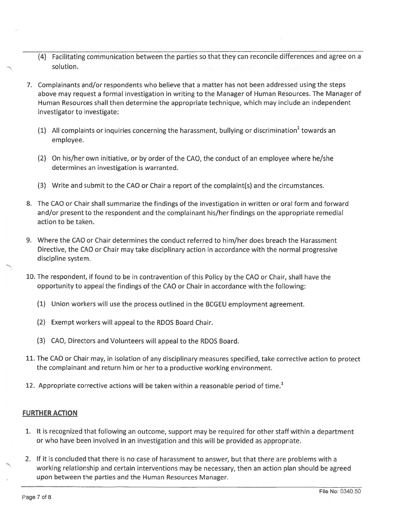- (4) Facilitating communication between the parties so that they can reconcile differences and agree on <sup>a</sup> solution.
- 7. Complainants and/or respondents who believe that <sup>a</sup> matter has not been addressed using the steps above may reques<sup>t</sup> <sup>a</sup> formal investigation in writing to the Manager of Human Resources. The Manager of Human Resources shall then determine the appropriate technique, which may include an independent investigator to investigate:
	- (1) All complaints or inquiries concerning the harassment, bullying or discrimination towards an employee.
	- (2) On his/her own initiative, or by order of the CAO, the conduct of an employee where he/she determines an investigation is warranted.
	- (3) Write and submit to the CAO or Chair <sup>a</sup> repor<sup>t</sup> of the complaint(s) and the circumstances.
- 8. The CAO or Chair shall summarize the findings of the investigation in written or oral form and forward and/or presen<sup>t</sup> to the respondent and the complainant his/her findings on the appropriate remedial action to be taken.
- 9. Where the CAO or Chair determines the conduct referred to him/her does breach the Harassment Directive, the CAO or Chair may take disciplinary action in accordance with the normal progressive discipline system.
- 10. The respondent, if found to be in contravention of this Policy by the CAO or Chair, shall have the opportunity to appeal the findings of the CAO or Chair in accordance with the following:
	- (1) Union workers will use the process outlined in the BCGEU employment agreement.
	- (2) Exempt workers will appeal to the RDOS Board Chair.
	- (3) CAO, Directors and Volunteers will appeal to the RDOS Board.
- 11. The CAO or Chair may, in isolation of any disciplinary measures specified, take corrective action to protect the complainant and return him or her to <sup>a</sup> productive working environment.
- 12. Appropriate corrective actions will be taken within a reasonable period of time. $1$

# FURTHER ACTION

- 1. It is recognized that following an outcome, suppor<sup>t</sup> may be required for other staff within <sup>a</sup> department or who have been involved in an investigation and this will be provided as appropriate.
- 2. If it is concluded that there is no case of harassment to answer, but that there are problems with <sup>a</sup> working relationship and certain interventions may be necessary, then an action plan should be agreed upon between the parties and the Human Resources Manager.